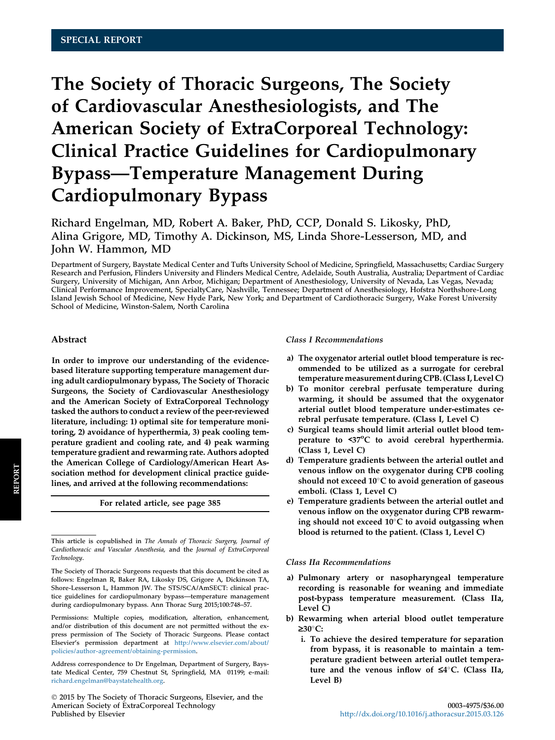# The Society of Thoracic Surgeons, The Society of Cardiovascular Anesthesiologists, and The American Society of ExtraCorporeal Technology: Clinical Practice Guidelines for Cardiopulmonary Bypass—Temperature Management During Cardiopulmonary Bypass

Richard Engelman, MD, Robert A. Baker, PhD, CCP, Donald S. Likosky, PhD, Alina Grigore, MD, Timothy A. Dickinson, MS, Linda Shore-Lesserson, MD, and John W. Hammon, MD

Department of Surgery, Baystate Medical Center and Tufts University School of Medicine, Springfield, Massachusetts; Cardiac Surgery Research and Perfusion, Flinders University and Flinders Medical Centre, Adelaide, South Australia, Australia; Department of Cardiac Surgery, University of Michigan, Ann Arbor, Michigan; Department of Anesthesiology, University of Nevada, Las Vegas, Nevada; Clinical Performance Improvement, SpecialtyCare, Nashville, Tennessee; Department of Anesthesiology, Hofstra Northshore-Long Island Jewish School of Medicine, New Hyde Park, New York; and Department of Cardiothoracic Surgery, Wake Forest University School of Medicine, Winston-Salem, North Carolina

#### Abstract

In order to improve our understanding of the evidencebased literature supporting temperature management during adult cardiopulmonary bypass, The Society of Thoracic Surgeons, the Society of Cardiovascular Anesthesiology and the American Society of ExtraCorporeal Technology tasked the authors to conduct a review of the peer-reviewed literature, including: 1) optimal site for temperature monitoring, 2) avoidance of hyperthermia, 3) peak cooling temperature gradient and cooling rate, and 4) peak warming temperature gradient and rewarming rate. Authors adopted the American College of Cardiology/American Heart Association method for development clinical practice guidelines, and arrived at the following recommendations:

For related article, see page 385

## Class I Recommendations

- a) The oxygenator arterial outlet blood temperature is recommended to be utilized as a surrogate for cerebral temperature measurement during CPB. (Class I, Level C)
- b) To monitor cerebral perfusate temperature during warming, it should be assumed that the oxygenator arterial outlet blood temperature under-estimates cerebral perfusate temperature. (Class I, Level C)
- c) Surgical teams should limit arterial outlet blood temperature to <37°C to avoid cerebral hyperthermia. (Class 1, Level C)
- d) Temperature gradients between the arterial outlet and venous inflow on the oxygenator during CPB cooling should not exceed  $10^{\circ}$ C to avoid generation of gaseous emboli. (Class 1, Level C)
- e) Temperature gradients between the arterial outlet and venous inflow on the oxygenator during CPB rewarming should not exceed  $10^{\circ}$ C to avoid outgassing when blood is returned to the patient. (Class 1, Level C)

#### Class IIa Recommendations

- a) Pulmonary artery or nasopharyngeal temperature recording is reasonable for weaning and immediate post-bypass temperature measurement. (Class IIa, Level C)
- b) Rewarming when arterial blood outlet temperature  $≥30^{\circ}$ C:
	- i. To achieve the desired temperature for separation from bypass, it is reasonable to maintain a temperature gradient between arterial outlet temperature and the venous inflow of  $\leq 4^{\circ}$ C. (Class IIa, Level B)

This article is copublished in The Annals of Thoracic Surgery, Journal of Cardiothoracic and Vascular Anesthesia, and the Journal of ExtraCorporeal Technology.

The Society of Thoracic Surgeons requests that this document be cited as follows: Engelman R, Baker RA, Likosky DS, Grigore A, Dickinson TA, Shore-Lesserson L, Hammon JW. The STS/SCA/AmSECT: clinical practice guidelines for cardiopulmonary bypass—temperature management during cardiopulmonary bypass. Ann Thorac Surg 2015;100:748–57.

Permissions: Multiple copies, modification, alteration, enhancement, and/or distribution of this document are not permitted without the express permission of The Society of Thoracic Surgeons. Please contact Elsevier's permission department at [http://www.elsevier.com/about/](http://www.elsevier.com/about/policies/author-agreement/obtaining-permission) [policies/author-agreement/obtaining-permission.](http://www.elsevier.com/about/policies/author-agreement/obtaining-permission)

Address correspondence to Dr Engelman, Department of Surgery, Baystate Medical Center, 759 Chestnut St, Springfield, MA 01199; e-mail: [richard.engelman@baystatehealth.org.](mailto:richard.engelman@baystatehealth.org)

2015 by The Society of Thoracic Surgeons, Elsevier, and the American Society of ExtraCorporeal Technology 0003-4975/\$36.00 Published by Elsevier <http://dx.doi.org/10.1016/j.athoracsur.2015.03.126>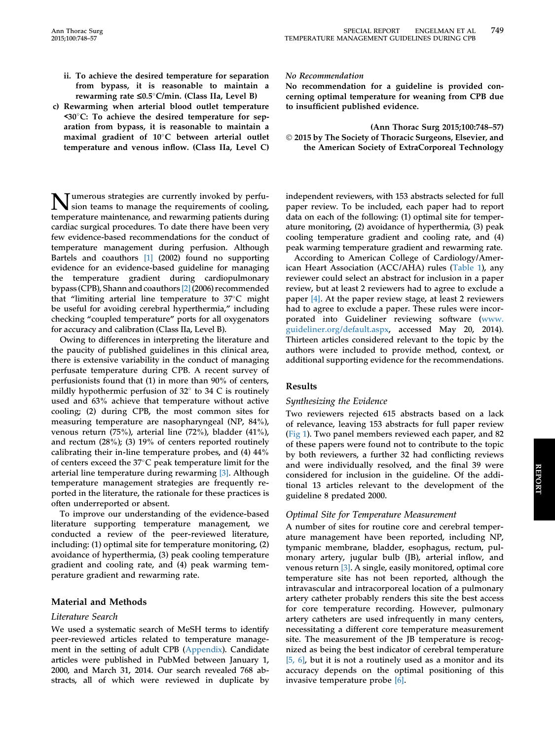- ii. To achieve the desired temperature for separation from bypass, it is reasonable to maintain a rewarming rate  $\leq 0.5^{\circ}$ C/min. (Class IIa, Level B)
- c) Rewarming when arterial blood outlet temperature  $\leq 30^{\circ}$ C: To achieve the desired temperature for separation from bypass, it is reasonable to maintain a maximal gradient of 10°C between arterial outlet temperature and venous inflow. (Class IIa, Level C)

**Tumerous strategies are currently invoked by perfu**sion teams to manage the requirements of cooling, temperature maintenance, and rewarming patients during cardiac surgical procedures. To date there have been very few evidence-based recommendations for the conduct of temperature management during perfusion. Although Bartels and coauthors [\[1\]](#page-8-0) (2002) found no supporting evidence for an evidence-based guideline for managing the temperature gradient during cardiopulmonary bypass (CPB), Shann and coauthors [\[2\]](#page-8-0) (2006) recommended that "limiting arterial line temperature to  $37^{\circ}$ C might be useful for avoiding cerebral hyperthermia," including checking "coupled temperature" ports for all oxygenators for accuracy and calibration (Class IIa, Level B).

Owing to differences in interpreting the literature and the paucity of published guidelines in this clinical area, there is extensive variability in the conduct of managing perfusate temperature during CPB. A recent survey of perfusionists found that (1) in more than 90% of centers, mildly hypothermic perfusion of  $32^{\circ}$  to  $34$  C is routinely used and 63% achieve that temperature without active cooling; (2) during CPB, the most common sites for measuring temperature are nasopharyngeal (NP, 84%), venous return (75%), arterial line (72%), bladder (41%), and rectum (28%); (3) 19% of centers reported routinely calibrating their in-line temperature probes, and (4) 44% of centers exceed the  $37^{\circ}$ C peak temperature limit for the arterial line temperature during rewarming [\[3\].](#page-8-0) Although temperature management strategies are frequently reported in the literature, the rationale for these practices is often underreported or absent.

To improve our understanding of the evidence-based literature supporting temperature management, we conducted a review of the peer-reviewed literature, including: (1) optimal site for temperature monitoring, (2) avoidance of hyperthermia, (3) peak cooling temperature gradient and cooling rate, and (4) peak warming temperature gradient and rewarming rate.

## Material and Methods

## Literature Search

We used a systematic search of MeSH terms to identify peer-reviewed articles related to temperature management in the setting of adult CPB (Appendix). Candidate articles were published in PubMed between January 1, 2000, and March 31, 2014. Our search revealed 768 abstracts, all of which were reviewed in duplicate by

## No Recommendation

No recommendation for a guideline is provided concerning optimal temperature for weaning from CPB due to insufficient published evidence.

(Ann Thorac Surg 2015;100:748–57) 2015 by The Society of Thoracic Surgeons, Elsevier, and the American Society of ExtraCorporeal Technology

independent reviewers, with 153 abstracts selected for full paper review. To be included, each paper had to report data on each of the following: (1) optimal site for temperature monitoring, (2) avoidance of hyperthermia, (3) peak cooling temperature gradient and cooling rate, and (4) peak warming temperature gradient and rewarming rate.

According to American College of Cardiology/American Heart Association (ACC/AHA) rules ([Table 1](#page-2-0)), any reviewer could select an abstract for inclusion in a paper review, but at least 2 reviewers had to agree to exclude a paper [\[4\].](#page-8-0) At the paper review stage, at least 2 reviewers had to agree to exclude a paper. These rules were incorporated into Guideliner reviewing software ([www.](http://www.guideliner.org/default.aspx) [guideliner.org/default.aspx](http://www.guideliner.org/default.aspx), accessed May 20, 2014). Thirteen articles considered relevant to the topic by the authors were included to provide method, context, or additional supporting evidence for the recommendations.

## Results

## Synthesizing the Evidence

Two reviewers rejected 615 abstracts based on a lack of relevance, leaving 153 abstracts for full paper review ([Fig 1](#page-3-0)). Two panel members reviewed each paper, and 82 of these papers were found not to contribute to the topic by both reviewers, a further 32 had conflicting reviews and were individually resolved, and the final 39 were considered for inclusion in the guideline. Of the additional 13 articles relevant to the development of the guideline 8 predated 2000.

## Optimal Site for Temperature Measurement

A number of sites for routine core and cerebral temperature management have been reported, including NP, tympanic membrane, bladder, esophagus, rectum, pulmonary artery, jugular bulb (JB), arterial inflow, and venous return [\[3\]](#page-8-0). A single, easily monitored, optimal core temperature site has not been reported, although the intravascular and intracorporeal location of a pulmonary artery catheter probably renders this site the best access for core temperature recording. However, pulmonary artery catheters are used infrequently in many centers, necessitating a different core temperature measurement site. The measurement of the JB temperature is recognized as being the best indicator of cerebral temperature [\[5, 6\]](#page-8-0), but it is not a routinely used as a monitor and its accuracy depends on the optimal positioning of this invasive temperature probe [\[6\].](#page-8-0)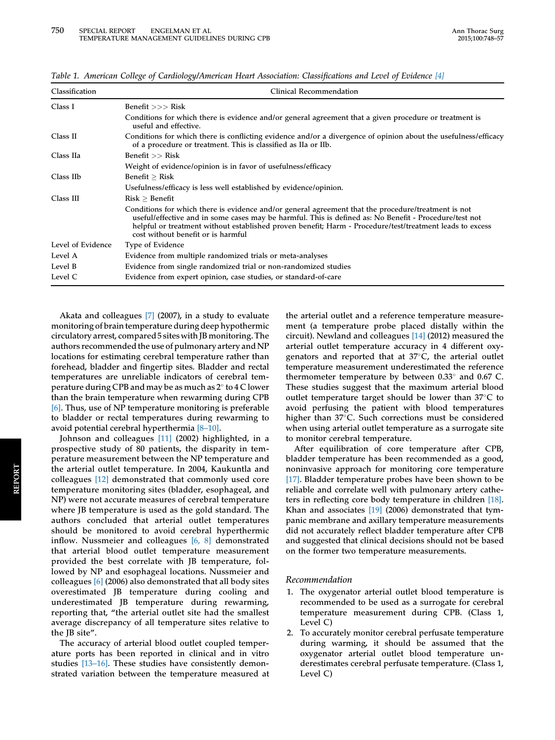| Classification    | Clinical Recommendation                                                                                                                                                                                                                                                                                                                                         |  |  |  |  |  |  |
|-------------------|-----------------------------------------------------------------------------------------------------------------------------------------------------------------------------------------------------------------------------------------------------------------------------------------------------------------------------------------------------------------|--|--|--|--|--|--|
| Class I           | Benefit $>>$ Risk                                                                                                                                                                                                                                                                                                                                               |  |  |  |  |  |  |
|                   | Conditions for which there is evidence and/or general agreement that a given procedure or treatment is<br>useful and effective.                                                                                                                                                                                                                                 |  |  |  |  |  |  |
| Class II          | Conditions for which there is conflicting evidence and/or a divergence of opinion about the usefulness/efficacy<br>of a procedure or treatment. This is classified as IIa or IIb.                                                                                                                                                                               |  |  |  |  |  |  |
| Class IIa         | Benefit $>>$ Risk                                                                                                                                                                                                                                                                                                                                               |  |  |  |  |  |  |
|                   | Weight of evidence/opinion is in favor of usefulness/efficacy                                                                                                                                                                                                                                                                                                   |  |  |  |  |  |  |
| Class IIb         | Benefit $>$ Risk                                                                                                                                                                                                                                                                                                                                                |  |  |  |  |  |  |
|                   | Usefulness/efficacy is less well established by evidence/opinion.                                                                                                                                                                                                                                                                                               |  |  |  |  |  |  |
| Class III         | Risk > Benefit                                                                                                                                                                                                                                                                                                                                                  |  |  |  |  |  |  |
|                   | Conditions for which there is evidence and/or general agreement that the procedure/treatment is not<br>useful/effective and in some cases may be harmful. This is defined as: No Benefit - Procedure/test not<br>helpful or treatment without established proven benefit; Harm - Procedure/test/treatment leads to excess<br>cost without benefit or is harmful |  |  |  |  |  |  |
| Level of Evidence | Type of Evidence                                                                                                                                                                                                                                                                                                                                                |  |  |  |  |  |  |
| Level A           | Evidence from multiple randomized trials or meta-analyses                                                                                                                                                                                                                                                                                                       |  |  |  |  |  |  |
| Level B           | Evidence from single randomized trial or non-randomized studies                                                                                                                                                                                                                                                                                                 |  |  |  |  |  |  |
| Level C           | Evidence from expert opinion, case studies, or standard-of-care                                                                                                                                                                                                                                                                                                 |  |  |  |  |  |  |

<span id="page-2-0"></span>Table 1. American College of Cardiology/American Heart Association: Classifications and Level of Evidence [\[4\]](#page-8-0)

Akata and colleagues [\[7\]](#page-8-0) (2007), in a study to evaluate monitoring of brain temperature during deep hypothermic circulatory arrest, compared 5 sites with JB monitoring. The authors recommended the use of pulmonary artery and NP locations for estimating cerebral temperature rather than forehead, bladder and fingertip sites. Bladder and rectal temperatures are unreliable indicators of cerebral temperature during CPB and may be as much as  $2^{\circ}$  to 4 C lower than the brain temperature when rewarming during CPB [\[6\]](#page-8-0). Thus, use of NP temperature monitoring is preferable to bladder or rectal temperatures during rewarming to avoid potential cerebral hyperthermia [\[8](#page-8-0)–[10\]](#page-8-0).

Johnson and colleagues [\[11\]](#page-8-0) (2002) highlighted, in a prospective study of 80 patients, the disparity in temperature measurement between the NP temperature and the arterial outlet temperature. In 2004, Kaukuntla and colleagues [\[12\]](#page-8-0) demonstrated that commonly used core temperature monitoring sites (bladder, esophageal, and NP) were not accurate measures of cerebral temperature where JB temperature is used as the gold standard. The authors concluded that arterial outlet temperatures should be monitored to avoid cerebral hyperthermic inflow. Nussmeier and colleagues [\[6, 8\]](#page-8-0) demonstrated that arterial blood outlet temperature measurement provided the best correlate with JB temperature, followed by NP and esophageal locations. Nussmeier and colleagues [\[6\]](#page-8-0) (2006) also demonstrated that all body sites overestimated JB temperature during cooling and underestimated JB temperature during rewarming, reporting that, "the arterial outlet site had the smallest average discrepancy of all temperature sites relative to the JB site".

The accuracy of arterial blood outlet coupled temperature ports has been reported in clinical and in vitro studies [\[13](#page-8-0)–[16\]](#page-8-0). These studies have consistently demonstrated variation between the temperature measured at the arterial outlet and a reference temperature measurement (a temperature probe placed distally within the circuit). Newland and colleagues [\[14\]](#page-8-0) (2012) measured the arterial outlet temperature accuracy in 4 different oxygenators and reported that at  $37^{\circ}$ C, the arterial outlet temperature measurement underestimated the reference thermometer temperature by between  $0.33^{\circ}$  and  $0.67$  C. These studies suggest that the maximum arterial blood outlet temperature target should be lower than  $37^{\circ}$ C to avoid perfusing the patient with blood temperatures higher than 37°C. Such corrections must be considered when using arterial outlet temperature as a surrogate site to monitor cerebral temperature.

After equilibration of core temperature after CPB, bladder temperature has been recommended as a good, noninvasive approach for monitoring core temperature [\[17\].](#page-8-0) Bladder temperature probes have been shown to be reliable and correlate well with pulmonary artery catheters in reflecting core body temperature in children [\[18\].](#page-8-0) Khan and associates [\[19\]](#page-8-0) (2006) demonstrated that tympanic membrane and axillary temperature measurements did not accurately reflect bladder temperature after CPB and suggested that clinical decisions should not be based on the former two temperature measurements.

## Recommendation

- 1. The oxygenator arterial outlet blood temperature is recommended to be used as a surrogate for cerebral temperature measurement during CPB. (Class 1, Level C)
- 2. To accurately monitor cerebral perfusate temperature during warming, it should be assumed that the oxygenator arterial outlet blood temperature underestimates cerebral perfusate temperature. (Class 1, Level C)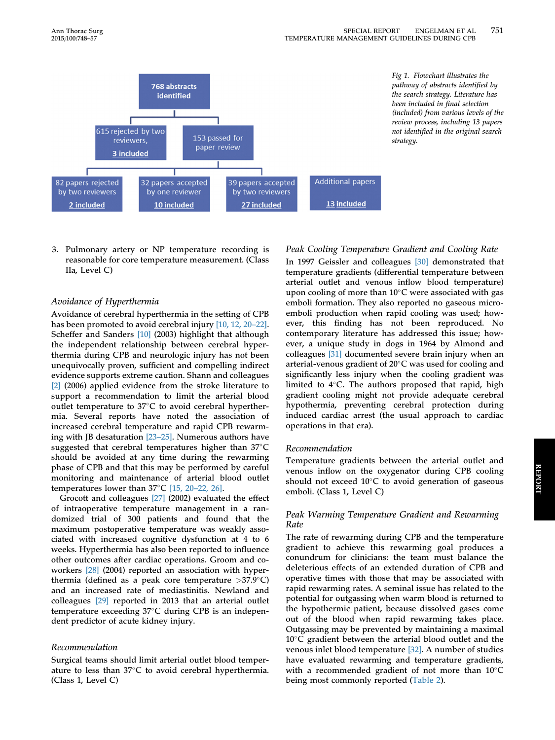<span id="page-3-0"></span>

3. Pulmonary artery or NP temperature recording is reasonable for core temperature measurement. (Class IIa, Level C)

## Avoidance of Hyperthermia

Avoidance of cerebral hyperthermia in the setting of CPB has been promoted to avoid cerebral injury [\[10, 12, 20](#page-8-0)–[22\].](#page-8-0) Scheffer and Sanders [\[10\]](#page-8-0) (2003) highlight that although the independent relationship between cerebral hyperthermia during CPB and neurologic injury has not been unequivocally proven, sufficient and compelling indirect evidence supports extreme caution. Shann and colleagues [\[2\]](#page-8-0) (2006) applied evidence from the stroke literature to support a recommendation to limit the arterial blood outlet temperature to  $37^{\circ}$ C to avoid cerebral hyperthermia. Several reports have noted the association of increased cerebral temperature and rapid CPB rewarming with JB desaturation [\[23](#page-8-0)–[25\]](#page-8-0). Numerous authors have suggested that cerebral temperatures higher than  $37^{\circ}$ C should be avoided at any time during the rewarming phase of CPB and that this may be performed by careful monitoring and maintenance of arterial blood outlet temperatures lower than  $37^{\circ}$ C [\[15, 20](#page-8-0)–[22, 26\].](#page-8-0)

Grocott and colleagues [\[27\]](#page-8-0) (2002) evaluated the effect of intraoperative temperature management in a randomized trial of 300 patients and found that the maximum postoperative temperature was weakly associated with increased cognitive dysfunction at 4 to 6 weeks. Hyperthermia has also been reported to influence other outcomes after cardiac operations. Groom and coworkers [\[28\]](#page-8-0) (2004) reported an association with hyperthermia (defined as a peak core temperature  $>37.9^{\circ}C$ ) and an increased rate of mediastinitis. Newland and colleagues [\[29\]](#page-8-0) reported in 2013 that an arterial outlet temperature exceeding  $37^{\circ}$ C during CPB is an independent predictor of acute kidney injury.

## Recommendation

Surgical teams should limit arterial outlet blood temperature to less than  $37^{\circ}$ C to avoid cerebral hyperthermia. (Class 1, Level C)

## Peak Cooling Temperature Gradient and Cooling Rate

In 1997 Geissler and colleagues [\[30\]](#page-8-0) demonstrated that temperature gradients (differential temperature between arterial outlet and venous inflow blood temperature) upon cooling of more than  $10^{\circ}$ C were associated with gas emboli formation. They also reported no gaseous microemboli production when rapid cooling was used; however, this finding has not been reproduced. No contemporary literature has addressed this issue; however, a unique study in dogs in 1964 by Almond and colleagues [\[31\]](#page-9-0) documented severe brain injury when an arterial-venous gradient of 20°C was used for cooling and significantly less injury when the cooling gradient was limited to  $4^{\circ}$ C. The authors proposed that rapid, high gradient cooling might not provide adequate cerebral hypothermia, preventing cerebral protection during induced cardiac arrest (the usual approach to cardiac operations in that era).

## Recommendation

Temperature gradients between the arterial outlet and venous inflow on the oxygenator during CPB cooling should not exceed  $10^{\circ}$ C to avoid generation of gaseous emboli. (Class 1, Level C)

## Peak Warming Temperature Gradient and Rewarming Rate

The rate of rewarming during CPB and the temperature gradient to achieve this rewarming goal produces a conundrum for clinicians: the team must balance the deleterious effects of an extended duration of CPB and operative times with those that may be associated with rapid rewarming rates. A seminal issue has related to the potential for outgassing when warm blood is returned to the hypothermic patient, because dissolved gases come out of the blood when rapid rewarming takes place. Outgassing may be prevented by maintaining a maximal  $10^{\circ}$ C gradient between the arterial blood outlet and the venous inlet blood temperature [\[32\]](#page-9-0). A number of studies have evaluated rewarming and temperature gradients, with a recommended gradient of not more than  $10^{\circ}$ C being most commonly reported ([Table 2\)](#page-4-0).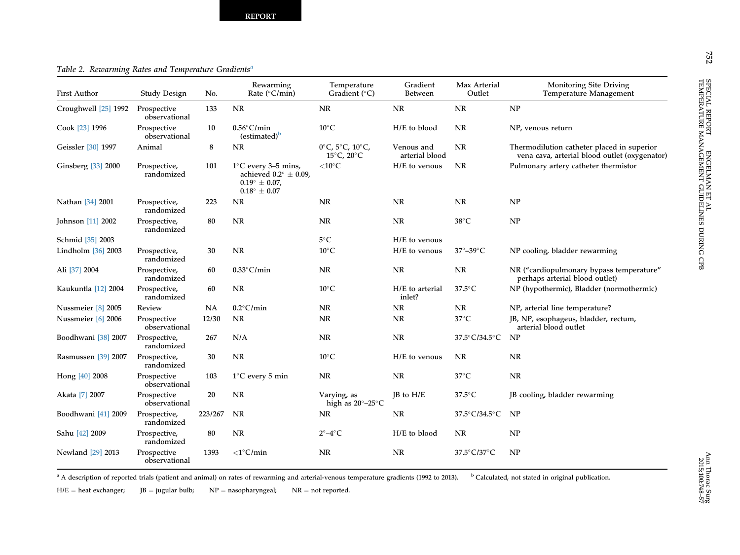# <span id="page-4-0"></span>Table 2. Rewarming Rates and Temperature Gradients<sup>a</sup>

| <b>First Author</b>         | <b>Study Design</b>          | No.     | Rewarming<br>Rate ( $°C/min$ )                                                                                             | Temperature<br>Gradient $(^{\circ}C)$                                             | Gradient<br><b>Between</b>   | Max Arterial<br>Outlet  | Monitoring Site Driving<br>Temperature Management                                           |
|-----------------------------|------------------------------|---------|----------------------------------------------------------------------------------------------------------------------------|-----------------------------------------------------------------------------------|------------------------------|-------------------------|---------------------------------------------------------------------------------------------|
| Croughwell <a>[25]</a> 1992 | Prospective<br>observational | 133     | <b>NR</b>                                                                                                                  | <b>NR</b>                                                                         | <b>NR</b>                    | <b>NR</b>               | NP                                                                                          |
| Cook [23] 1996              | Prospective<br>observational | 10      | $0.56^{\circ}$ C/min<br>(estimated) <sup>b</sup>                                                                           | $10^{\circ}$ C                                                                    | H/E to blood                 | NR                      | NP, venous return                                                                           |
| Geissler [30] 1997          | Animal                       | 8       | NR.                                                                                                                        | $0^{\circ}$ C, 5 $^{\circ}$ C, 10 $^{\circ}$ C,<br>$15^{\circ}$ C, $20^{\circ}$ C | Venous and<br>arterial blood | NR                      | Thermodilution catheter placed in superior<br>vena cava, arterial blood outlet (oxygenator) |
| Ginsberg [33] 2000          | Prospective,<br>randomized   | 101     | $1^{\circ}$ C every 3–5 mins,<br>achieved $0.2^{\circ} \pm 0.09$ ,<br>$0.19^{\circ} \pm 0.07$ ,<br>$0.18^{\circ} \pm 0.07$ | $<$ 10 $^{\circ}$ C                                                               | H/E to venous                | NR                      | Pulmonary artery catheter thermistor                                                        |
| Nathan [34] 2001            | Prospective,<br>randomized   | 223     | NR                                                                                                                         | NR                                                                                | <b>NR</b>                    | NR                      | NP                                                                                          |
| Johnson [11] 2002           | Prospective,<br>randomized   | 80      | <b>NR</b>                                                                                                                  | <b>NR</b>                                                                         | <b>NR</b>                    | $38^{\circ}$ C          | NP                                                                                          |
| Schmid [35] 2003            |                              |         |                                                                                                                            | $5^{\circ}$ C                                                                     | H/E to venous                |                         |                                                                                             |
| Lindholm [36] 2003          | Prospective,<br>randomized   | 30      | <b>NR</b>                                                                                                                  | $10^{\circ}$ C                                                                    | H/E to venous                | $37^\circ - 39^\circ$ C | NP cooling, bladder rewarming                                                               |
| Ali [37] 2004               | Prospective,<br>randomized   | 60      | $0.33^{\circ}$ C/min                                                                                                       | <b>NR</b>                                                                         | <b>NR</b>                    | <b>NR</b>               | NR ("cardiopulmonary bypass temperature"<br>perhaps arterial blood outlet)                  |
| Kaukuntla [12] 2004         | Prospective,<br>randomized   | 60      | <b>NR</b>                                                                                                                  | $10^{\circ}$ C                                                                    | H/E to arterial<br>inlet?    | $37.5^{\circ}$ C        | NP (hypothermic), Bladder (normothermic)                                                    |
| Nussmeier [8] 2005          | Review                       | NA      | $0.2^{\circ}$ C/min                                                                                                        | <b>NR</b>                                                                         | <b>NR</b>                    | NR                      | NP, arterial line temperature?                                                              |
| Nussmeier [6] 2006          | Prospective<br>observational | 12/30   | <b>NR</b>                                                                                                                  | <b>NR</b>                                                                         | <b>NR</b>                    | $37^{\circ}$ C          | JB, NP, esophageus, bladder, rectum,<br>arterial blood outlet                               |
| Boodhwani [38] 2007         | Prospective,<br>randomized   | 267     | N/A                                                                                                                        | <b>NR</b>                                                                         | NR                           | 37.5°C/34.5°C           | NP                                                                                          |
| Rasmussen [39] 2007         | Prospective,<br>randomized   | 30      | <b>NR</b>                                                                                                                  | $10^{\circ}$ C                                                                    | H/E to venous                | NR                      | <b>NR</b>                                                                                   |
| Hong [40] 2008              | Prospective<br>observational | 103     | $1^{\circ}$ C every 5 min                                                                                                  | <b>NR</b>                                                                         | <b>NR</b>                    | $37^{\circ}$ C          | <b>NR</b>                                                                                   |
| Akata [7] 2007              | Prospective<br>observational | 20      | <b>NR</b>                                                                                                                  | Varying, as<br>high as $20^{\circ} - 25^{\circ}$ C                                | $IB$ to $H/E$                | $37.5^{\circ}$ C        | JB cooling, bladder rewarming                                                               |
| Boodhwani [41] 2009         | Prospective,<br>randomized   | 223/267 | <b>NR</b>                                                                                                                  | NR                                                                                | <b>NR</b>                    | 37.5°C/34.5°C           | NP                                                                                          |
| Sahu [42] 2009              | Prospective,<br>randomized   | 80      | <b>NR</b>                                                                                                                  | $2^{\circ}-4^{\circ}$ C                                                           | H/E to blood                 | <b>NR</b>               | NP                                                                                          |
| Newland [29] 2013           | Prospective<br>observational | 1393    | $\langle$ 1°C/min                                                                                                          | <b>NR</b>                                                                         | <b>NR</b>                    | 37.5°C/37°C             | NP                                                                                          |

<sup>a</sup> A description of reported trials (patient and animal) on rates of rewarming and arterial-venous temperature gradients (1992 to 2013). b Calculated, not stated in original publication.

 ${\rm H/E} =$  $JB = jugular bulb;$   $NP = nasopharyngeal;$   $NR = not reported.$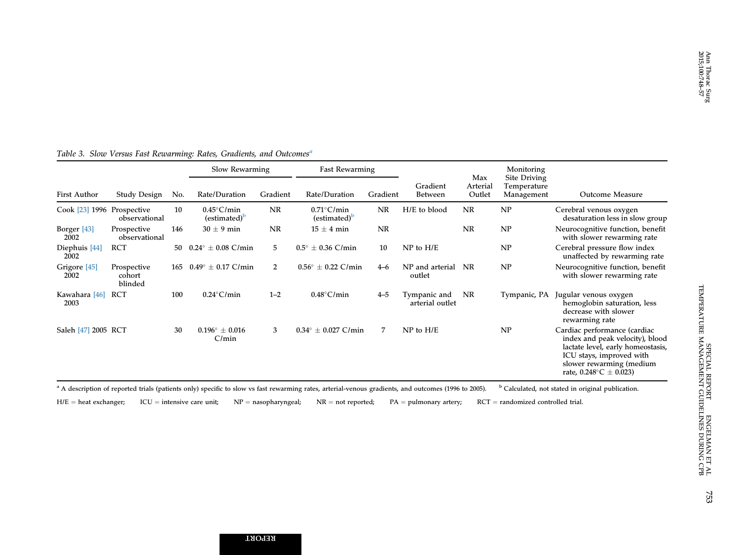|                                 |                                  |     | Slow Rewarming                          |                | <b>Fast Rewarming</b>                   |           |                                 | Max                | Monitoring<br>Site Driving |                                                                                                                                                                                                      |
|---------------------------------|----------------------------------|-----|-----------------------------------------|----------------|-----------------------------------------|-----------|---------------------------------|--------------------|----------------------------|------------------------------------------------------------------------------------------------------------------------------------------------------------------------------------------------------|
| <b>First Author</b>             | Study Design                     | No. | Rate/Duration                           | Gradient       | Rate/Duration                           | Gradient  | Gradient<br><b>Between</b>      | Arterial<br>Outlet | Temperature<br>Management  | Outcome Measure                                                                                                                                                                                      |
| Cook [23] 1996 Prospective      | observational                    | 10  | $0.45^{\circ}$ C/min<br>$(estimated)^b$ | <b>NR</b>      | $0.71^{\circ}$ C/min<br>$(estimated)^b$ | NR        | H/E to blood                    | <b>NR</b>          | NP                         | Cerebral venous oxygen<br>desaturation less in slow group                                                                                                                                            |
| Borger [43]<br>2002             | Prospective<br>observational     | 146 | $30 \pm 9$ min                          | <b>NR</b>      | $15 \pm 4$ min                          | <b>NR</b> |                                 | <b>NR</b>          | NP                         | Neurocognitive function, benefit<br>with slower rewarming rate                                                                                                                                       |
| Diephuis [44]<br>2002           | <b>RCT</b>                       | 50  | $0.24^{\circ} \pm 0.08$ C/min           | 5              | $\pm$ 0.36 C/min<br>$0.5^\circ$         | 10        | $NP$ to $H/E$                   |                    | NP                         | Cerebral pressure flow index<br>unaffected by rewarming rate                                                                                                                                         |
| Grigore <sup>[45]</sup><br>2002 | Prospective<br>cohort<br>blinded | 165 | $0.49^{\circ} \pm 0.17$ C/min           | $\overline{2}$ | $0.56^{\circ} \pm 0.22$ C/min           | $4 - 6$   | NP and arterial<br>outlet       | NR                 | NP                         | Neurocognitive function, benefit<br>with slower rewarming rate                                                                                                                                       |
| Kawahara [46]<br>2003           | RCT                              | 100 | $0.24^{\circ}$ C/min                    | $1 - 2$        | $0.48^{\circ}$ C/min                    | $4 - 5$   | Tympanic and<br>arterial outlet | NR                 | Tympanic, PA               | Jugular venous oxygen<br>hemoglobin saturation, less<br>decrease with slower<br>rewarming rate                                                                                                       |
| Saleh [47] 2005 RCT             |                                  | 30  | $0.196^{\circ} \pm 0.016$<br>C/min      | 3              | $0.34^{\circ} \pm 0.027$ C/min          | 7         | $NP$ to $H/E$                   |                    | NP                         | Cardiac performance (cardiac<br>index and peak velocity), blood<br>lactate level, early homeostasis,<br>ICU stays, improved with<br>slower rewarming (medium<br>rate, $0.248^{\circ}$ C $\pm$ 0.023) |

# <span id="page-5-0"></span>Table 3. Slow Versus Fast Rewarming: Rates, Gradients, and Outcomes<sup>a</sup>

<sup>a</sup> A description of reported trials (patients only) specific to slow vs fast rewarming rates, arterial-venous gradients, and outcomes (1996 to 2005). b Calculated, not stated in original publication.

H/E ¼ heat exchanger; ICU  $=$  intensive care unit; NP  $=$  nasopharyngeal; NR = not reported; PA  $=$  pulmonary artery; RCT = randomized controlled trial.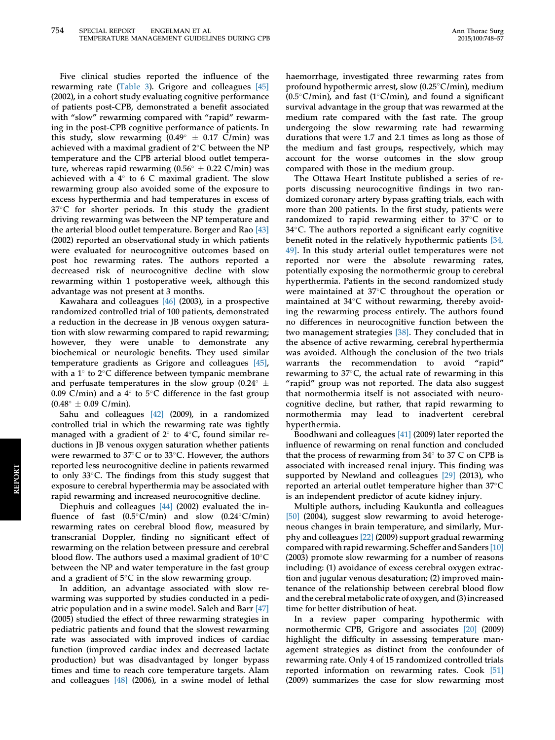Five clinical studies reported the influence of the rewarming rate ([Table 3\)](#page-5-0). Grigore and colleagues [\[45\]](#page-9-0) (2002), in a cohort study evaluating cognitive performance of patients post-CPB, demonstrated a benefit associated with "slow" rewarming compared with "rapid" rewarming in the post-CPB cognitive performance of patients. In this study, slow rewarming  $(0.49^{\circ} \pm 0.17 \text{ C/min})$  was achieved with a maximal gradient of  $2^{\circ}$ C between the NP temperature and the CPB arterial blood outlet temperature, whereas rapid rewarming  $(0.56^{\circ} \pm 0.22 \text{ C/min})$  was achieved with a  $4^\circ$  to 6 C maximal gradient. The slow rewarming group also avoided some of the exposure to excess hyperthermia and had temperatures in excess of  $37^{\circ}$ C for shorter periods. In this study the gradient driving rewarming was between the NP temperature and the arterial blood outlet temperature. Borger and Rao [\[43\]](#page-9-0) (2002) reported an observational study in which patients were evaluated for neurocognitive outcomes based on post hoc rewarming rates. The authors reported a decreased risk of neurocognitive decline with slow rewarming within 1 postoperative week, although this advantage was not present at 3 months.

Kawahara and colleagues [\[46\]](#page-9-0) (2003), in a prospective randomized controlled trial of 100 patients, demonstrated a reduction in the decrease in JB venous oxygen saturation with slow rewarming compared to rapid rewarming; however, they were unable to demonstrate any biochemical or neurologic benefits. They used similar temperature gradients as Grigore and colleagues [\[45\],](#page-9-0) with a  $1^{\circ}$  to  $2^{\circ}$ C difference between tympanic membrane and perfusate temperatures in the slow group (0.24 $\degree$   $\pm$ 0.09 C/min) and a  $4^{\circ}$  to  $5^{\circ}$ C difference in the fast group  $(0.48^{\circ} \pm 0.09 \text{ C/min}).$ 

Sahu and colleagues [\[42\]](#page-9-0) (2009), in a randomized controlled trial in which the rewarming rate was tightly managed with a gradient of  $2^{\circ}$  to  $4^{\circ}$ C, found similar reductions in JB venous oxygen saturation whether patients were rewarmed to  $37^{\circ}$ C or to  $33^{\circ}$ C. However, the authors reported less neurocognitive decline in patients rewarmed to only  $33^{\circ}$ C. The findings from this study suggest that exposure to cerebral hyperthermia may be associated with rapid rewarming and increased neurocognitive decline.

Diephuis and colleagues [\[44\]](#page-9-0) (2002) evaluated the influence of fast  $(0.5^{\circ}C/min)$  and slow  $(0.24^{\circ}C/min)$ rewarming rates on cerebral blood flow, measured by transcranial Doppler, finding no significant effect of rewarming on the relation between pressure and cerebral blood flow. The authors used a maximal gradient of  $10^{\circ}$ C between the NP and water temperature in the fast group and a gradient of  $5^{\circ}$ C in the slow rewarming group.

In addition, an advantage associated with slow rewarming was supported by studies conducted in a pediatric population and in a swine model. Saleh and Barr [\[47\]](#page-9-0) (2005) studied the effect of three rewarming strategies in pediatric patients and found that the slowest rewarming rate was associated with improved indices of cardiac function (improved cardiac index and decreased lactate production) but was disadvantaged by longer bypass times and time to reach core temperature targets. Alam and colleagues [\[48\]](#page-9-0) (2006), in a swine model of lethal

haemorrhage, investigated three rewarming rates from profound hypothermic arrest, slow  $(0.25^{\circ} \text{C/min})$ , medium (0.5°C/min), and fast (1°C/min), and found a significant survival advantage in the group that was rewarmed at the medium rate compared with the fast rate. The group undergoing the slow rewarming rate had rewarming durations that were 1.7 and 2.1 times as long as those of the medium and fast groups, respectively, which may account for the worse outcomes in the slow group compared with those in the medium group.

The Ottawa Heart Institute published a series of reports discussing neurocognitive findings in two randomized coronary artery bypass grafting trials, each with more than 200 patients. In the first study, patients were randomized to rapid rewarming either to  $37^{\circ}$ C or to 34°C. The authors reported a significant early cognitive benefit noted in the relatively hypothermic patients [\[34,](#page-9-0) [49\].](#page-9-0) In this study arterial outlet temperatures were not reported nor were the absolute rewarming rates, potentially exposing the normothermic group to cerebral hyperthermia. Patients in the second randomized study were maintained at  $37^{\circ}$ C throughout the operation or maintained at  $34^{\circ}$ C without rewarming, thereby avoiding the rewarming process entirely. The authors found no differences in neurocognitive function between the two management strategies [\[38\].](#page-9-0) They concluded that in the absence of active rewarming, cerebral hyperthermia was avoided. Although the conclusion of the two trials warrants the recommendation to avoid "rapid" rewarming to  $37^{\circ}$ C, the actual rate of rewarming in this "rapid" group was not reported. The data also suggest that normothermia itself is not associated with neurocognitive decline, but rather, that rapid rewarming to normothermia may lead to inadvertent cerebral hyperthermia.

Boodhwani and colleagues [\[41\]](#page-9-0) (2009) later reported the influence of rewarming on renal function and concluded that the process of rewarming from  $34^\circ$  to 37 C on CPB is associated with increased renal injury. This finding was supported by Newland and colleagues [\[29\]](#page-8-0) (2013), who reported an arterial outlet temperature higher than  $37^{\circ}$ C is an independent predictor of acute kidney injury.

Multiple authors, including Kaukuntla and colleagues [\[50\]](#page-9-0) (2004), suggest slow rewarming to avoid heterogeneous changes in brain temperature, and similarly, Murphy and colleagues [\[22\]](#page-8-0) (2009) support gradual rewarming compared with rapid rewarming. Scheffer and Sanders [\[10\]](#page-8-0) (2003) promote slow rewarming for a number of reasons including: (1) avoidance of excess cerebral oxygen extraction and jugular venous desaturation; (2) improved maintenance of the relationship between cerebral blood flow and the cerebral metabolic rate of oxygen, and (3) increased time for better distribution of heat.

In a review paper comparing hypothermic with normothermic CPB, Grigore and associates [\[20\]](#page-8-0) (2009) highlight the difficulty in assessing temperature management strategies as distinct from the confounder of rewarming rate. Only 4 of 15 randomized controlled trials reported information on rewarming rates. Cook [\[51\]](#page-9-0) (2009) summarizes the case for slow rewarming most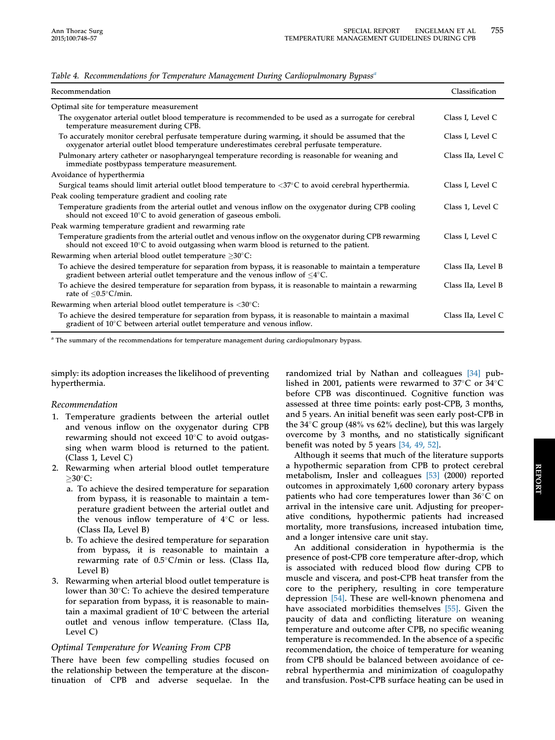| Recommendation                                                                                                                                                                                              | Classification     |
|-------------------------------------------------------------------------------------------------------------------------------------------------------------------------------------------------------------|--------------------|
| Optimal site for temperature measurement                                                                                                                                                                    |                    |
| The oxygenator arterial outlet blood temperature is recommended to be used as a surrogate for cerebral<br>temperature measurement during CPB.                                                               | Class I, Level C   |
| To accurately monitor cerebral perfusate temperature during warming, it should be assumed that the<br>oxygenator arterial outlet blood temperature underestimates cerebral perfusate temperature.           | Class I, Level C   |
| Pulmonary artery catheter or nasopharyngeal temperature recording is reasonable for weaning and<br>immediate postbypass temperature measurement.                                                            | Class IIa, Level C |
| Avoidance of hyperthermia                                                                                                                                                                                   |                    |
| Surgical teams should limit arterial outlet blood temperature to $\langle 37^{\circ} \text{C}$ to avoid cerebral hyperthermia.                                                                              | Class I, Level C   |
| Peak cooling temperature gradient and cooling rate                                                                                                                                                          |                    |
| Temperature gradients from the arterial outlet and venous inflow on the oxygenator during CPB cooling<br>should not exceed $10^{\circ}$ C to avoid generation of gaseous emboli.                            | Class 1, Level C   |
| Peak warming temperature gradient and rewarming rate                                                                                                                                                        |                    |
| Temperature gradients from the arterial outlet and venous inflow on the oxygenator during CPB rewarming<br>should not exceed $10^{\circ}$ C to avoid outgassing when warm blood is returned to the patient. | Class I, Level C   |
| Rewarming when arterial blood outlet temperature $>30^{\circ}$ C:                                                                                                                                           |                    |
| To achieve the desired temperature for separation from bypass, it is reasonable to maintain a temperature<br>gradient between arterial outlet temperature and the venous inflow of $\leq 4^{\circ}C$ .      | Class IIa, Level B |
| To achieve the desired temperature for separation from bypass, it is reasonable to maintain a rewarming<br>rate of $\leq 0.5^{\circ}$ C/min.                                                                | Class IIa, Level B |
| Rewarming when arterial blood outlet temperature is $\langle 30^{\circ}$ C:                                                                                                                                 |                    |
| To achieve the desired temperature for separation from bypass, it is reasonable to maintain a maximal<br>gradient of $10^{\circ}$ C between arterial outlet temperature and venous inflow.                  | Class IIa, Level C |

#### <span id="page-7-0"></span>Table 4. Recommendations for Temperature Management During Cardiopulmonary Bypass<sup>a</sup>

<sup>a</sup> The summary of the recommendations for temperature management during cardiopulmonary bypass.

simply: its adoption increases the likelihood of preventing hyperthermia.

## Recommendation

- 1. Temperature gradients between the arterial outlet and venous inflow on the oxygenator during CPB rewarming should not exceed  $10^{\circ}$ C to avoid outgassing when warm blood is returned to the patient. (Class 1, Level C)
- 2. Rewarming when arterial blood outlet temperature  $\geq$ 30 $\degree$ C:
	- a. To achieve the desired temperature for separation from bypass, it is reasonable to maintain a temperature gradient between the arterial outlet and the venous inflow temperature of  $4^{\circ}$ C or less. (Class IIa, Level B)
	- b. To achieve the desired temperature for separation from bypass, it is reasonable to maintain a rewarming rate of 0.5°C/min or less. (Class IIa, Level B)
- 3. Rewarming when arterial blood outlet temperature is lower than  $30^{\circ}$ C: To achieve the desired temperature for separation from bypass, it is reasonable to maintain a maximal gradient of  $10^{\circ}$ C between the arterial outlet and venous inflow temperature. (Class IIa, Level C)

## Optimal Temperature for Weaning From CPB

There have been few compelling studies focused on the relationship between the temperature at the discontinuation of CPB and adverse sequelae. In the

randomized trial by Nathan and colleagues [\[34\]](#page-9-0) published in 2001, patients were rewarmed to 37 $\mathrm{^{\circ}C}$  or 34 $\mathrm{^{\circ}C}$ before CPB was discontinued. Cognitive function was assessed at three time points: early post-CPB, 3 months, and 5 years. An initial benefit was seen early post-CPB in the 34 $\degree$ C group (48% vs 62% decline), but this was largely overcome by 3 months, and no statistically significant benefit was noted by 5 years [\[34, 49, 52\].](#page-9-0)

Although it seems that much of the literature supports a hypothermic separation from CPB to protect cerebral metabolism, Insler and colleagues [\[53\]](#page-9-0) (2000) reported outcomes in approximately 1,600 coronary artery bypass patients who had core temperatures lower than  $36^{\circ}$ C on arrival in the intensive care unit. Adjusting for preoperative conditions, hypothermic patients had increased mortality, more transfusions, increased intubation time, and a longer intensive care unit stay.

An additional consideration in hypothermia is the presence of post-CPB core temperature after-drop, which is associated with reduced blood flow during CPB to muscle and viscera, and post-CPB heat transfer from the core to the periphery, resulting in core temperature depression [\[54\].](#page-9-0) These are well-known phenomena and have associated morbidities themselves [\[55\].](#page-9-0) Given the paucity of data and conflicting literature on weaning temperature and outcome after CPB, no specific weaning temperature is recommended. In the absence of a specific recommendation, the choice of temperature for weaning from CPB should be balanced between avoidance of cerebral hyperthermia and minimization of coagulopathy and transfusion. Post-CPB surface heating can be used in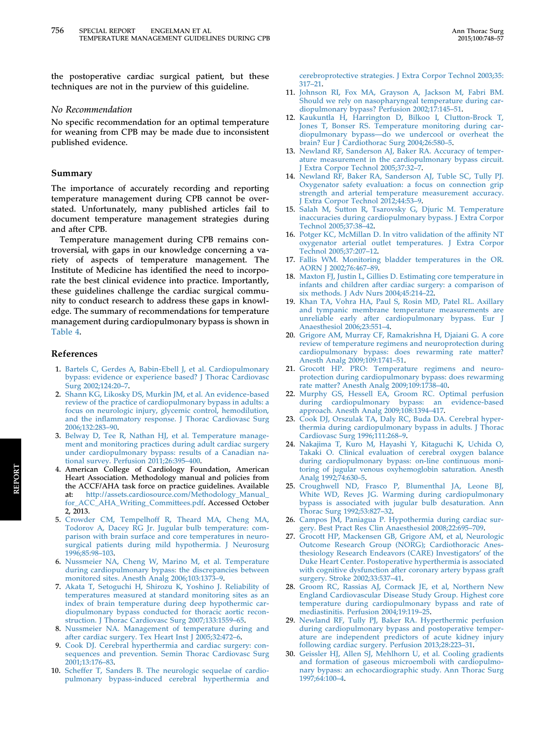<span id="page-8-0"></span>the postoperative cardiac surgical patient, but these techniques are not in the purview of this guideline.

#### No Recommendation

No specific recommendation for an optimal temperature for weaning from CPB may be made due to inconsistent published evidence.

#### Summary

The importance of accurately recording and reporting temperature management during CPB cannot be overstated. Unfortunately, many published articles fail to document temperature management strategies during and after CPB.

Temperature management during CPB remains controversial, with gaps in our knowledge concerning a variety of aspects of temperature management. The Institute of Medicine has identified the need to incorporate the best clinical evidence into practice. Importantly, these guidelines challenge the cardiac surgical community to conduct research to address these gaps in knowledge. The summary of recommendations for temperature management during cardiopulmonary bypass is shown in [Table 4.](#page-7-0)

#### References

- 1. [Bartels C, Gerdes A, Babin-Ebell J, et al. Cardiopulmonary](http://refhub.elsevier.com/S0003-4975(15)01014-0/sref1) [bypass: evidence or experience based? J Thorac Cardiovasc](http://refhub.elsevier.com/S0003-4975(15)01014-0/sref1) [Surg 2002;124:20](http://refhub.elsevier.com/S0003-4975(15)01014-0/sref1)–7.
- 2. [Shann KG, Likosky DS, Murkin JM, et al. An evidence-based](http://refhub.elsevier.com/S0003-4975(15)01014-0/sref2) [review of the practice of cardiopulmonary bypass in adults: a](http://refhub.elsevier.com/S0003-4975(15)01014-0/sref2) [focus on neurologic injury, glycemic control, hemodilution,](http://refhub.elsevier.com/S0003-4975(15)01014-0/sref2) and the infl[ammatory response. J Thorac Cardiovasc Surg](http://refhub.elsevier.com/S0003-4975(15)01014-0/sref2) [2006;132:283](http://refhub.elsevier.com/S0003-4975(15)01014-0/sref2)–90.
- 3. [Belway D, Tee R, Nathan HJ, et al. Temperature manage](http://refhub.elsevier.com/S0003-4975(15)01014-0/sref3)[ment and monitoring practices during adult cardiac surgery](http://refhub.elsevier.com/S0003-4975(15)01014-0/sref3) [under cardiopulmonary bypass: results of a Canadian na](http://refhub.elsevier.com/S0003-4975(15)01014-0/sref3)[tional survey. Perfusion 2011;26:395](http://refhub.elsevier.com/S0003-4975(15)01014-0/sref3)–400.
- 4. American College of Cardiology Foundation, American Heart Association. Methodology manual and policies from the ACCF/AHA task force on practice guidelines. Available at: [http://assets.cardiosource.com/Methodology\\_Manual\\_](http://assets.cardiosource.com/Methodology_Manual_for_ACC_AHA_Writing_Committees.pdf) [for\\_ACC\\_AHA\\_Writing\\_Committees.pdf.](http://assets.cardiosource.com/Methodology_Manual_for_ACC_AHA_Writing_Committees.pdf) Accessed October 2, 2013.
- 5. [Crowder CM, Tempelhoff R, Theard MA, Cheng MA,](http://refhub.elsevier.com/S0003-4975(15)01014-0/sref4) [Todorov A, Dacey RG Jr. Jugular bulb temperature: com](http://refhub.elsevier.com/S0003-4975(15)01014-0/sref4)[parison with brain surface and core temperatures in neuro](http://refhub.elsevier.com/S0003-4975(15)01014-0/sref4)[surgical patients during mild hypothermia. J Neurosurg](http://refhub.elsevier.com/S0003-4975(15)01014-0/sref4) [1996;85:98](http://refhub.elsevier.com/S0003-4975(15)01014-0/sref4)–103.
- 6. [Nussmeier NA, Cheng W, Marino M, et al. Temperature](http://refhub.elsevier.com/S0003-4975(15)01014-0/sref5) [during cardiopulmonary bypass: the discrepancies between](http://refhub.elsevier.com/S0003-4975(15)01014-0/sref5) [monitored sites. Anesth Analg 2006;103:1373](http://refhub.elsevier.com/S0003-4975(15)01014-0/sref5)–9.
- 7. [Akata T, Setoguchi H, Shirozu K, Yoshino J. Reliability of](http://refhub.elsevier.com/S0003-4975(15)01014-0/sref6) [temperatures measured at standard monitoring sites as an](http://refhub.elsevier.com/S0003-4975(15)01014-0/sref6) [index of brain temperature during deep hypothermic car](http://refhub.elsevier.com/S0003-4975(15)01014-0/sref6)[diopulmonary bypass conducted for thoracic aortic recon](http://refhub.elsevier.com/S0003-4975(15)01014-0/sref6)[struction. J Thorac Cardiovasc Surg 2007;133:1559](http://refhub.elsevier.com/S0003-4975(15)01014-0/sref6)–65.
- 8. [Nussmeier NA. Management of temperature during and](http://refhub.elsevier.com/S0003-4975(15)01014-0/sref7) [after cardiac surgery. Tex Heart Inst J 2005;32:472](http://refhub.elsevier.com/S0003-4975(15)01014-0/sref7)–6.
- 9. [Cook DJ. Cerebral hyperthermia and cardiac surgery: con](http://refhub.elsevier.com/S0003-4975(15)01014-0/sref8)[sequences and prevention. Semin Thorac Cardiovasc Surg](http://refhub.elsevier.com/S0003-4975(15)01014-0/sref8) [2001;13:176](http://refhub.elsevier.com/S0003-4975(15)01014-0/sref8)–83.
- 10. [Scheffer T, Sanders B. The neurologic sequelae of cardio](http://refhub.elsevier.com/S0003-4975(15)01014-0/sref9)[pulmonary bypass-induced cerebral hyperthermia and](http://refhub.elsevier.com/S0003-4975(15)01014-0/sref9)

[cerebroprotective strategies. J Extra Corpor Technol 2003;35:](http://refhub.elsevier.com/S0003-4975(15)01014-0/sref9) [317](http://refhub.elsevier.com/S0003-4975(15)01014-0/sref9)–21.

- 11. [Johnson RI, Fox MA, Grayson A, Jackson M, Fabri BM.](http://refhub.elsevier.com/S0003-4975(15)01014-0/sref10) [Should we rely on nasopharyngeal temperature during car](http://refhub.elsevier.com/S0003-4975(15)01014-0/sref10)[diopulmonary bypass? Perfusion 2002;17:145](http://refhub.elsevier.com/S0003-4975(15)01014-0/sref10)-51.
- 12. [Kaukuntla H, Harrington D, Bilkoo I, Clutton-Brock T,](http://refhub.elsevier.com/S0003-4975(15)01014-0/sref11) [Jones T, Bonser RS. Temperature monitoring during car](http://refhub.elsevier.com/S0003-4975(15)01014-0/sref11)[diopulmonary bypass](http://refhub.elsevier.com/S0003-4975(15)01014-0/sref11)—[do we undercool or overheat the](http://refhub.elsevier.com/S0003-4975(15)01014-0/sref11) [brain? Eur J Cardiothorac Surg 2004;26:580](http://refhub.elsevier.com/S0003-4975(15)01014-0/sref11)–5.
- 13. [Newland RF, Sanderson AJ, Baker RA. Accuracy of temper](http://refhub.elsevier.com/S0003-4975(15)01014-0/sref12)[ature measurement in the cardiopulmonary bypass circuit.](http://refhub.elsevier.com/S0003-4975(15)01014-0/sref12) [J Extra Corpor Technol 2005;37:32](http://refhub.elsevier.com/S0003-4975(15)01014-0/sref12)–7.
- 14. [Newland RF, Baker RA, Sanderson AJ, Tuble SC, Tully PJ.](http://refhub.elsevier.com/S0003-4975(15)01014-0/sref13) [Oxygenator safety evaluation: a focus on connection grip](http://refhub.elsevier.com/S0003-4975(15)01014-0/sref13) [strength and arterial temperature measurement accuracy.](http://refhub.elsevier.com/S0003-4975(15)01014-0/sref13) [J Extra Corpor Technol 2012;44:53](http://refhub.elsevier.com/S0003-4975(15)01014-0/sref13)–9.
- 15. [Salah M, Sutton R, Tsarovsky G, Djuric M. Temperature](http://refhub.elsevier.com/S0003-4975(15)01014-0/sref14) [inaccuracies during cardiopulmonary bypass. J Extra Corpor](http://refhub.elsevier.com/S0003-4975(15)01014-0/sref14) [Technol 2005;37:38](http://refhub.elsevier.com/S0003-4975(15)01014-0/sref14)–42.
- 16. [Potger KC, McMillan D. In vitro validation of the af](http://refhub.elsevier.com/S0003-4975(15)01014-0/sref15)finity NT [oxygenator arterial outlet temperatures. J Extra Corpor](http://refhub.elsevier.com/S0003-4975(15)01014-0/sref15) [Technol 2005;37:207](http://refhub.elsevier.com/S0003-4975(15)01014-0/sref15)–12.
- 17. [Fallis WM. Monitoring bladder temperatures in the OR.](http://refhub.elsevier.com/S0003-4975(15)01014-0/sref16) [AORN J 2002;76:467](http://refhub.elsevier.com/S0003-4975(15)01014-0/sref16)–89.
- 18. [Maxton FJ, Justin L, Gillies D. Estimating core temperature in](http://refhub.elsevier.com/S0003-4975(15)01014-0/sref17) [infants and children after cardiac surgery: a comparison of](http://refhub.elsevier.com/S0003-4975(15)01014-0/sref17) [six methods. J Adv Nurs 2004;45:214](http://refhub.elsevier.com/S0003-4975(15)01014-0/sref17)–22.
- 19. [Khan TA, Vohra HA, Paul S, Rosin MD, Patel RL. Axillary](http://refhub.elsevier.com/S0003-4975(15)01014-0/sref18) [and tympanic membrane temperature measurements are](http://refhub.elsevier.com/S0003-4975(15)01014-0/sref18) [unreliable early after cardiopulmonary bypass. Eur J](http://refhub.elsevier.com/S0003-4975(15)01014-0/sref18) [Anaesthesiol 2006;23:551](http://refhub.elsevier.com/S0003-4975(15)01014-0/sref18)–4.
- 20. [Grigore AM, Murray CF, Ramakrishna H, Djaiani G. A core](http://refhub.elsevier.com/S0003-4975(15)01014-0/sref19) [review of temperature regimens and neuroprotection during](http://refhub.elsevier.com/S0003-4975(15)01014-0/sref19) [cardiopulmonary bypass: does rewarming rate matter?](http://refhub.elsevier.com/S0003-4975(15)01014-0/sref19) [Anesth Analg 2009;109:1741](http://refhub.elsevier.com/S0003-4975(15)01014-0/sref19)–51.
- 21. [Grocott HP. PRO: Temperature regimens and neuro](http://refhub.elsevier.com/S0003-4975(15)01014-0/sref20)[protection during cardiopulmonary bypass: does rewarming](http://refhub.elsevier.com/S0003-4975(15)01014-0/sref20) [rate matter? Anesth Analg 2009;109:1738](http://refhub.elsevier.com/S0003-4975(15)01014-0/sref20)–40.
- 22. [Murphy GS, Hessell EA, Groom RC. Optimal perfusion](http://refhub.elsevier.com/S0003-4975(15)01014-0/sref21) [during cardiopulmonary bypass: an evidence-based](http://refhub.elsevier.com/S0003-4975(15)01014-0/sref21) [approach. Anesth Analg 2009;108:1394](http://refhub.elsevier.com/S0003-4975(15)01014-0/sref21)–417.
- 23. [Cook DJ, Orszulak TA, Daly RC, Buda DA. Cerebral hyper](http://refhub.elsevier.com/S0003-4975(15)01014-0/sref22)[thermia during cardiopulmonary bypass in adults. J Thorac](http://refhub.elsevier.com/S0003-4975(15)01014-0/sref22) [Cardiovasc Surg 1996;111:268](http://refhub.elsevier.com/S0003-4975(15)01014-0/sref22)–9.
- 24. [Nakajima T, Kuro M, Hayashi Y, Kitaguchi K, Uchida O,](http://refhub.elsevier.com/S0003-4975(15)01014-0/sref23) [Takaki O. Clinical evaluation of cerebral oxygen balance](http://refhub.elsevier.com/S0003-4975(15)01014-0/sref23) [during cardiopulmonary bypass: on-line continuous moni](http://refhub.elsevier.com/S0003-4975(15)01014-0/sref23)[toring of jugular venous oxyhemoglobin saturation. Anesth](http://refhub.elsevier.com/S0003-4975(15)01014-0/sref23) [Analg 1992;74:630](http://refhub.elsevier.com/S0003-4975(15)01014-0/sref23)–5.
- 25. [Croughwell ND, Frasco P, Blumenthal JA, Leone BJ,](http://refhub.elsevier.com/S0003-4975(15)01014-0/sref24) [White WD, Reves JG. Warming during cardiopulmonary](http://refhub.elsevier.com/S0003-4975(15)01014-0/sref24) [bypass is associated with jugular bulb desaturation. Ann](http://refhub.elsevier.com/S0003-4975(15)01014-0/sref24) [Thorac Surg 1992;53:827](http://refhub.elsevier.com/S0003-4975(15)01014-0/sref24)–32.
- 26. [Campos JM, Paniagua P. Hypothermia during cardiac sur](http://refhub.elsevier.com/S0003-4975(15)01014-0/sref25)[gery. Best Pract Res Clin Anaesthesiol 2008;22:695](http://refhub.elsevier.com/S0003-4975(15)01014-0/sref25)–709.
- 27. [Grocott HP, Mackensen GB, Grigore AM, et al, Neurologic](http://refhub.elsevier.com/S0003-4975(15)01014-0/sref26) [Outcome Research Group \(NORG\); Cardiothoracic Anes](http://refhub.elsevier.com/S0003-4975(15)01014-0/sref26)[thesiology Research Endeavors \(CARE\) Investigators](http://refhub.elsevier.com/S0003-4975(15)01014-0/sref26)' of the [Duke Heart Center. Postoperative hyperthermia is associated](http://refhub.elsevier.com/S0003-4975(15)01014-0/sref26) [with cognitive dysfunction after coronary artery bypass graft](http://refhub.elsevier.com/S0003-4975(15)01014-0/sref26) [surgery. Stroke 2002;33:537](http://refhub.elsevier.com/S0003-4975(15)01014-0/sref26)–41.
- 28. [Groom RC, Rassias AJ, Cormack JE, et al, Northern New](http://refhub.elsevier.com/S0003-4975(15)01014-0/sref27) [England Cardiovascular Disease Study Group. Highest core](http://refhub.elsevier.com/S0003-4975(15)01014-0/sref27) [temperature during cardiopulmonary bypass and rate of](http://refhub.elsevier.com/S0003-4975(15)01014-0/sref27) [mediastinitis. Perfusion 2004;19:119](http://refhub.elsevier.com/S0003-4975(15)01014-0/sref27)–25.
- 29. [Newland RF, Tully PJ, Baker RA. Hyperthermic perfusion](http://refhub.elsevier.com/S0003-4975(15)01014-0/sref28) [during cardiopulmonary bypass and postoperative temper](http://refhub.elsevier.com/S0003-4975(15)01014-0/sref28)[ature are independent predictors of acute kidney injury](http://refhub.elsevier.com/S0003-4975(15)01014-0/sref28) [following cardiac surgery. Perfusion 2013;28:223](http://refhub.elsevier.com/S0003-4975(15)01014-0/sref28)–31.
- 30. [Geissler HJ, Allen SJ, Mehlhorn U, et al. Cooling gradients](http://refhub.elsevier.com/S0003-4975(15)01014-0/sref29) [and formation of gaseous microemboli with cardiopulmo](http://refhub.elsevier.com/S0003-4975(15)01014-0/sref29)[nary bypass: an echocardiographic study. Ann Thorac Surg](http://refhub.elsevier.com/S0003-4975(15)01014-0/sref29) [1997;64:100](http://refhub.elsevier.com/S0003-4975(15)01014-0/sref29)–4.